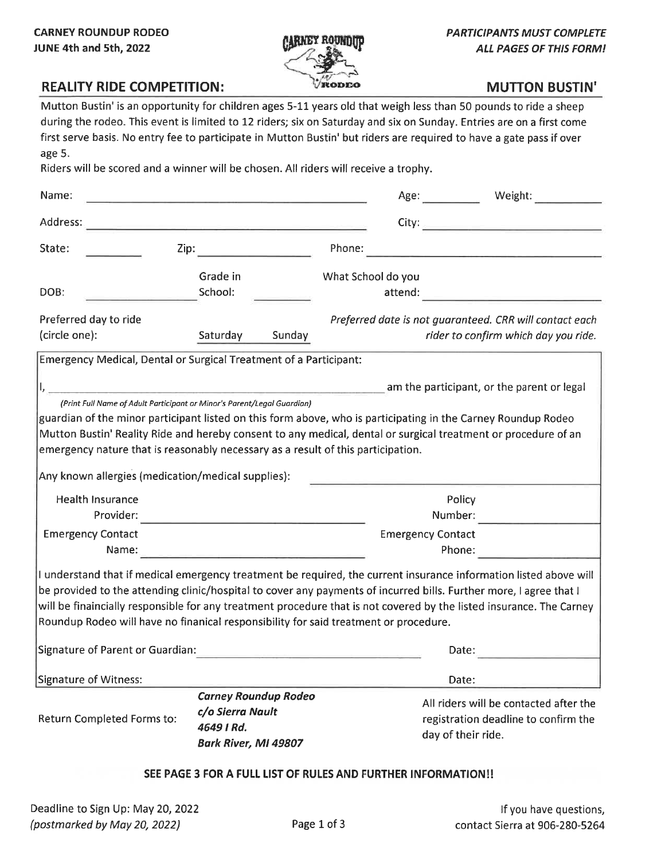

# **REALITY RIDE COMPETITION:**

## **MUTTON BUSTIN'**

Mutton Bustin' is an opportunity for children ages 5-11 years old that weigh less than 50 pounds to ride a sheep during the rodeo. This event is limited to 12 riders; six on Saturday and six on Sunday. Entries are on a first come first serve basis. No entry fee to participate in Mutton Bustin' but riders are required to have a gate pass if over age 5.

Riders will be scored and a winner will be chosen. All riders will receive a trophy.

| Name:                                                                                                                                                                                                                                                                                                                                                                                                                                                   |                                                                                                                       |                               | Weight:<br>Age:                                                                                      |  |  |
|---------------------------------------------------------------------------------------------------------------------------------------------------------------------------------------------------------------------------------------------------------------------------------------------------------------------------------------------------------------------------------------------------------------------------------------------------------|-----------------------------------------------------------------------------------------------------------------------|-------------------------------|------------------------------------------------------------------------------------------------------|--|--|
| Address:                                                                                                                                                                                                                                                                                                                                                                                                                                                |                                                                                                                       | City:                         | <u> 1989 - Johann Barbara, martxa a</u>                                                              |  |  |
| State:<br>Zip:                                                                                                                                                                                                                                                                                                                                                                                                                                          |                                                                                                                       | Phone:                        |                                                                                                      |  |  |
| DOB:                                                                                                                                                                                                                                                                                                                                                                                                                                                    | Grade in<br>School:                                                                                                   | What School do you<br>attend: |                                                                                                      |  |  |
| Preferred day to ride<br>(circle one):                                                                                                                                                                                                                                                                                                                                                                                                                  | Saturday<br>Sunday                                                                                                    |                               | Preferred date is not guaranteed. CRR will contact each<br>rider to confirm which day you ride.      |  |  |
| Emergency Medical, Dental or Surgical Treatment of a Participant:                                                                                                                                                                                                                                                                                                                                                                                       |                                                                                                                       |                               |                                                                                                      |  |  |
|                                                                                                                                                                                                                                                                                                                                                                                                                                                         |                                                                                                                       |                               | am the participant, or the parent or legal                                                           |  |  |
| guardian of the minor participant listed on this form above, who is participating in the Carney Roundup Rodeo<br>Mutton Bustin' Reality Ride and hereby consent to any medical, dental or surgical treatment or procedure of an<br>emergency nature that is reasonably necessary as a result of this participation.<br>Any known allergies (medication/medical supplies):                                                                               |                                                                                                                       |                               |                                                                                                      |  |  |
| <b>Health Insurance</b>                                                                                                                                                                                                                                                                                                                                                                                                                                 |                                                                                                                       |                               | Policy                                                                                               |  |  |
| Provider:                                                                                                                                                                                                                                                                                                                                                                                                                                               |                                                                                                                       |                               | Number:                                                                                              |  |  |
| <b>Emergency Contact</b><br>Name:                                                                                                                                                                                                                                                                                                                                                                                                                       | <u> Alexandria (Alexandria Alexandria Alexandria Alexandria Alexandria Alexandria Alexandria Alexandria Alexandri</u> |                               | <b>Emergency Contact</b><br>Phone:                                                                   |  |  |
| I understand that if medical emergency treatment be required, the current insurance information listed above will<br>be provided to the attending clinic/hospital to cover any payments of incurred bills. Further more, I agree that I<br>will be finaincially responsible for any treatment procedure that is not covered by the listed insurance. The Carney<br>Roundup Rodeo will have no finanical responsibility for said treatment or procedure. |                                                                                                                       |                               |                                                                                                      |  |  |
| Signature of Parent or Guardian:                                                                                                                                                                                                                                                                                                                                                                                                                        |                                                                                                                       |                               | Date:                                                                                                |  |  |
| Signature of Witness:                                                                                                                                                                                                                                                                                                                                                                                                                                   |                                                                                                                       |                               | Date:                                                                                                |  |  |
| Return Completed Forms to:                                                                                                                                                                                                                                                                                                                                                                                                                              | <b>Carney Roundup Rodeo</b><br>c/o Sierra Nault<br>4649   Rd.<br>Bark River, MI 49807                                 |                               | All riders will be contacted after the<br>registration deadline to confirm the<br>day of their ride. |  |  |

### SEE PAGE 3 FOR A FULL LIST OF RULES AND FURTHER INFORMATION!!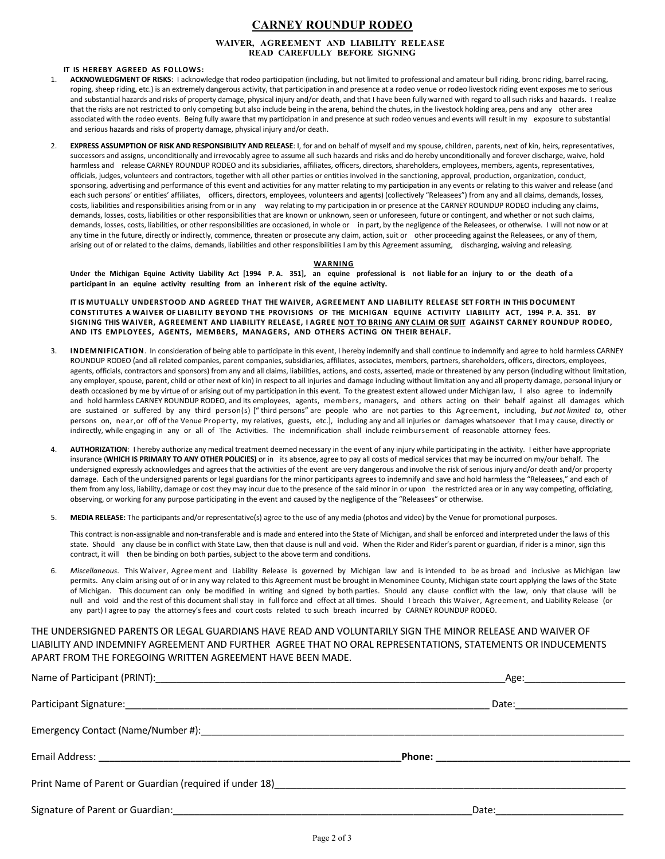### **CARNEY ROUNDUP RODEO**

### **WAIVER, AGREEMENT AND LIABILITY RELEASE READ CAREFULLY BEFORE SIGNING**

### **IT IS HEREBY AGREED AS FOLLOWS:**

- 1. **ACKNOWLEDGMENT OF RISKS**: I acknowledge that rodeo participation (including, but not limited to professional and amateur bull riding, bronc riding, barrel racing, roping, sheep riding, etc.) is an extremely dangerous activity, that participation in and presence at a rodeo venue or rodeo livestock riding event exposes me to serious and substantial hazards and risks of property damage, physical injury and/or death, and that I have been fully warned with regard to all such risks and hazards. I realize that the risks are not restricted to only competing but also include being in the arena, behind the chutes, in the livestock holding area, pens and any other area associated with the rodeo events. Being fully aware that my participation in and presence at such rodeo venues and events will result in my exposure to substantial and serious hazards and risks of property damage, physical injury and/or death.
- 2. **EXPRESS ASSUMPTION OF RISK AND RESPONSIBILITY AND RELEASE**: I, for and on behalf of myself and my spouse, children, parents, next of kin, heirs, representatives, successors and assigns, unconditionally and irrevocably agree to assume all such hazards and risks and do hereby unconditionally and forever discharge, waive, hold harmless and release CARNEY ROUNDUP RODEO and its subsidiaries, affiliates, officers, directors, shareholders, employees, members, agents, representatives, officials, judges, volunteers and contractors, together with all other parties or entities involved in the sanctioning, approval, production, organization, conduct, sponsoring, advertising and performance of this event and activities for any matter relating to my participation in any events or relating to this waiver and release (and each such persons' or entities' affiliates, officers, directors, employees, volunteers and agents) (collectively "Releasees") from any and all claims, demands, losses, costs, liabilities and responsibilities arising from or in any way relating to my participation in or presence at the CARNEY ROUNDUP RODEO including any claims, demands, losses, costs, liabilities or other responsibilities that are known or unknown, seen or unforeseen, future or contingent, and whether or not such claims, demands, losses, costs, liabilities, or other responsibilities are occasioned, in whole or in part, by the negligence of the Releasees, or otherwise. I will not now or at any time in the future, directly or indirectly, commence, threaten or prosecute any claim, action, suit or other proceeding against the Releasees, or any of them, arising out of or related to the claims, demands, liabilities and other responsibilities I am by this Agreement assuming, discharging, waiving and releasing.

#### **WARNING**

Under the Michigan Equine Activity Liability Act [1994 P.A. 351], an equine professional is not liable for an injury to or the death of a **participant in an equine activity resulting from an inherent risk of the equine activity.** 

**IT IS MUTUALLY UNDERSTOOD AND AGREED THAT THE WAIVER, AGREEMENT AND LIABILITY RELEASE SET FORTH IN THIS DOCUMENT CONSTITUTES A WAIVER OF LIABILITY BEYOND THE PROVISIONS OF THE MICHIGAN EQUINE ACTIVITY LIABILITY ACT, 1994 P. A. 351. BY** SIGNING THIS WAIVER, AGREEMENT AND LIABILITY RELEASE, I AGREE NOT TO BRING ANY CLAIM OR SUIT AGAINST CARNEY ROUNDUP RODEO, **AND ITS EMPLOYEES, AGENTS, MEMBERS, MANAGERS, AND OTHERS ACTING ON THEIR BEHALF.** 

- 3. **INDEMNIFICATION**. In consideration of being able to participate in this event, I hereby indemnify and shall continue to indemnify and agree to hold harmless CARNEY ROUNDUP RODEO (and all related companies, parent companies, subsidiaries, affiliates, associates, members, partners, shareholders, officers, directors, employees, agents, officials, contractors and sponsors) from any and all claims, liabilities, actions, and costs, asserted, made or threatened by any person (including without limitation, any employer, spouse, parent, child or other next of kin) in respect to all injuries and damage including without limitation any and all property damage, personal injury or death occasioned by me by virtue of or arising out of my participation in this event. To the greatest extent allowed under Michigan law, I also agree to indemnify and hold harmless CARNEY ROUNDUP RODEO, and its employees, agents, members, managers, and others acting on their behalf against all damages which are sustained or suffered by any third person(s) ["third persons" are people who are not parties to this Agreement, including, but not limited to, other persons on, near, or off of the Venue Property, my relatives, guests, etc.], including any and all injuries or damages whatsoever that I may cause, directly or indirectly, while engaging in any or all of The Activities. The indemnification shall include reimbursement of reasonable attorney fees.
- 4. **AUTHORIZATION**: I hereby authorize any medical treatment deemed necessary in the event of any injury while participating in the activity. I either have appropriate insurance (**WHICH IS PRIMARY TO ANY OTHER POLICIES)** or in its absence, agree to pay all costs of medical services that may be incurred on my/our behalf. The undersigned expressly acknowledges and agrees that the activities of the event are very dangerous and involve the risk of serious injury and/or death and/or property damage. Each of the undersigned parents or legal guardians for the minor participants agrees to indemnify and save and hold harmless the "Releasees," and each of them from any loss, liability, damage or cost they may incur due to the presence of the said minor in or upon the restricted area or in any way competing, officiating, observing, or working for any purpose participating in the event and caused by the negligence of the "Releasees" or otherwise.
- 5. **MEDIA RELEASE:** The participants and/or representative(s) agree to the use of any media (photos and video) by the Venue for promotional purposes.

This contract is non‐assignable and non‐transferable and is made and entered into the State of Michigan, and shall be enforced and interpreted under the laws of this state. Should any clause be in conflict with State Law, then that clause is null and void. When the Rider and Rider's parent or guardian, if rider is a minor, sign this contract, it will then be binding on both parties, subject to the above term and conditions.

6. *Miscellaneous*. This Waiver, Agreement and Liability Release is governed by Michigan law and is intended to be as broad and inclusive as Michigan law permits. Any claim arising out of or in any way related to this Agreement must be brought in Menominee County, Michigan state court applying the laws of the State of Michigan. This document can only be modified in writing and signed by both parties. Should any clause conflict with the law, only that clause will be null and void and the rest of this document shall stay in full force and effect at all times. Should I breach this Waiver, Agreement, and Liability Release (or any part) I agree to pay the attorney's fees and court costs related to such breach incurred by CARNEY ROUNDUP RODEO.

THE UNDERSIGNED PARENTS OR LEGAL GUARDIANS HAVE READ AND VOLUNTARILY SIGN THE MINOR RELEASE AND WAIVER OF LIABILITY AND INDEMNIFY AGREEMENT AND FURTHER AGREE THAT NO ORAL REPRESENTATIONS, STATEMENTS OR INDUCEMENTS APART FROM THE FOREGOING WRITTEN AGREEMENT HAVE BEEN MADE.

|                                                                                                               | Date:__ <b>_____________________</b> ___ |  |
|---------------------------------------------------------------------------------------------------------------|------------------------------------------|--|
|                                                                                                               |                                          |  |
|                                                                                                               |                                          |  |
| Print Name of Parent or Guardian (required if under 18) Name and South Assembly Control of Parent or Guardian |                                          |  |
|                                                                                                               | _Date:____________________________       |  |